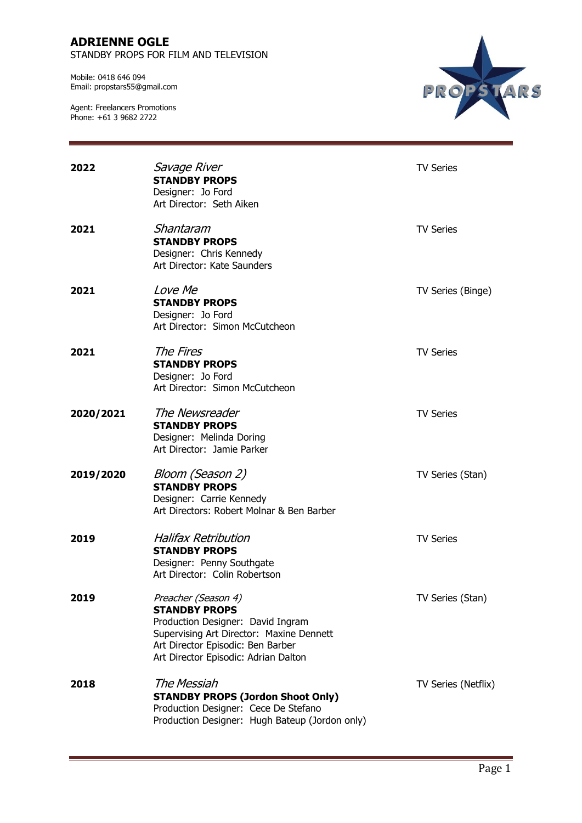STANDBY PROPS FOR FILM AND TELEVISION

Mobile: 0418 646 094 Email: propstars55@gmail.com



| 2022      | <i>Savage River</i><br><b>STANDBY PROPS</b><br>Designer: Jo Ford<br>Art Director: Seth Aiken                                                                                                              | <b>TV Series</b>    |
|-----------|-----------------------------------------------------------------------------------------------------------------------------------------------------------------------------------------------------------|---------------------|
| 2021      | Shantaram<br><b>STANDBY PROPS</b><br>Designer: Chris Kennedy<br>Art Director: Kate Saunders                                                                                                               | <b>TV Series</b>    |
| 2021      | <i>Love Me</i><br><b>STANDBY PROPS</b><br>Designer: Jo Ford<br>Art Director: Simon McCutcheon                                                                                                             | TV Series (Binge)   |
| 2021      | The Fires<br><b>STANDBY PROPS</b><br>Designer: Jo Ford<br>Art Director: Simon McCutcheon                                                                                                                  | <b>TV Series</b>    |
| 2020/2021 | The Newsreader<br><b>STANDBY PROPS</b><br>Designer: Melinda Doring<br>Art Director: Jamie Parker                                                                                                          | <b>TV Series</b>    |
| 2019/2020 | Bloom (Season 2)<br><b>STANDBY PROPS</b><br>Designer: Carrie Kennedy<br>Art Directors: Robert Molnar & Ben Barber                                                                                         | TV Series (Stan)    |
| 2019      | <b>Halifax Retribution</b><br><b>STANDBY PROPS</b><br>Designer: Penny Southgate<br>Art Director: Colin Robertson                                                                                          | <b>TV Series</b>    |
| 2019      | Preacher (Season 4)<br><b>STANDBY PROPS</b><br>Production Designer: David Ingram<br>Supervising Art Director: Maxine Dennett<br>Art Director Episodic: Ben Barber<br>Art Director Episodic: Adrian Dalton | TV Series (Stan)    |
| 2018      | The Messiah<br><b>STANDBY PROPS (Jordon Shoot Only)</b><br>Production Designer: Cece De Stefano<br>Production Designer: Hugh Bateup (Jordon only)                                                         | TV Series (Netflix) |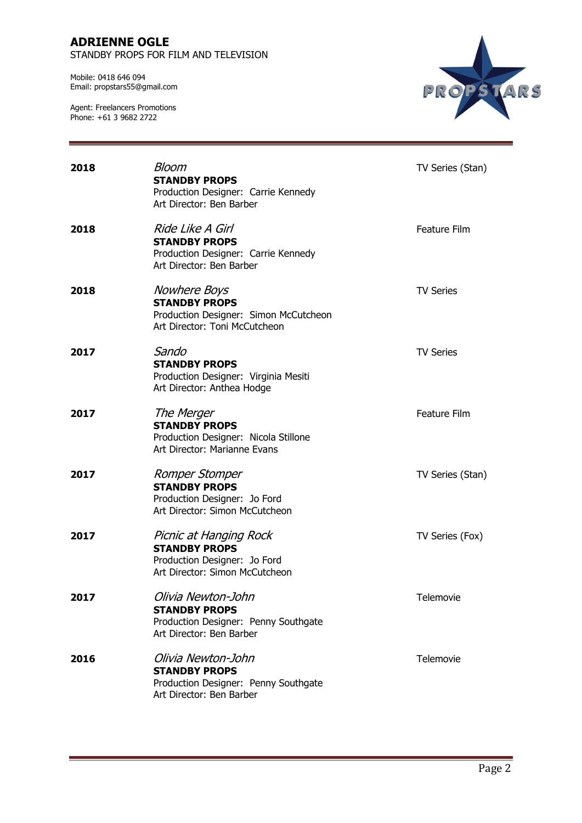STANDBY PROPS FOR FILM AND TELEVISION

Mobile: 0418 646 094 Email: propstars55@gmail.com



| 2018 | Bloom<br><b>STANDBY PROPS</b><br>Production Designer: Carrie Kennedy<br>Art Director: Ben Barber                      | TV Series (Stan) |
|------|-----------------------------------------------------------------------------------------------------------------------|------------------|
| 2018 | Ride Like A Girl<br><b>STANDBY PROPS</b><br>Production Designer: Carrie Kennedy<br>Art Director: Ben Barber           | Feature Film     |
| 2018 | <i>Nowhere Boys</i><br><b>STANDBY PROPS</b><br>Production Designer: Simon McCutcheon<br>Art Director: Toni McCutcheon | <b>TV Series</b> |
| 2017 | Sando<br><b>STANDBY PROPS</b><br>Production Designer: Virginia Mesiti<br>Art Director: Anthea Hodge                   | <b>TV Series</b> |
| 2017 | The Merger<br><b>STANDBY PROPS</b><br>Production Designer: Nicola Stillone<br>Art Director: Marianne Evans            | Feature Film     |
| 2017 | Romper Stomper<br><b>STANDBY PROPS</b><br>Production Designer: Jo Ford<br>Art Director: Simon McCutcheon              | TV Series (Stan) |
| 2017 | Picnic at Hanging Rock<br><b>STANDBY PROPS</b><br>Production Designer: Jo Ford<br>Art Director: Simon McCutcheon      | TV Series (Fox)  |
| 2017 | Olivia Newton-John<br><b>STANDBY PROPS</b><br>Production Designer: Penny Southgate<br>Art Director: Ben Barber        | Telemovie        |
| 2016 | Olivia Newton-John<br><b>STANDBY PROPS</b><br>Production Designer: Penny Southgate<br>Art Director: Ben Barber        | Telemovie        |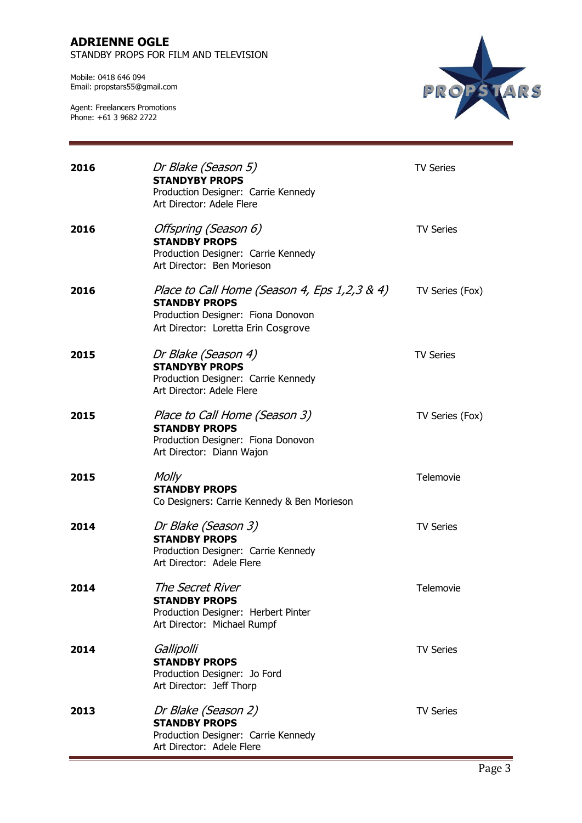STANDBY PROPS FOR FILM AND TELEVISION

Mobile: 0418 646 094 Email: propstars55@gmail.com



| 2016 | Dr Blake (Season 5)<br><b>STANDYBY PROPS</b><br>Production Designer: Carrie Kennedy<br>Art Director: Adele Flere                                  | <b>TV Series</b> |
|------|---------------------------------------------------------------------------------------------------------------------------------------------------|------------------|
| 2016 | Offspring (Season 6)<br><b>STANDBY PROPS</b><br>Production Designer: Carrie Kennedy<br>Art Director: Ben Morieson                                 | <b>TV Series</b> |
| 2016 | Place to Call Home (Season 4, Eps 1,2,3 & 4)<br><b>STANDBY PROPS</b><br>Production Designer: Fiona Donovon<br>Art Director: Loretta Erin Cosgrove | TV Series (Fox)  |
| 2015 | Dr Blake (Season 4)<br><b>STANDYBY PROPS</b><br>Production Designer: Carrie Kennedy<br>Art Director: Adele Flere                                  | <b>TV Series</b> |
| 2015 | Place to Call Home (Season 3)<br><b>STANDBY PROPS</b><br>Production Designer: Fiona Donovon<br>Art Director: Diann Wajon                          | TV Series (Fox)  |
| 2015 | Molly<br><b>STANDBY PROPS</b><br>Co Designers: Carrie Kennedy & Ben Morieson                                                                      | Telemovie        |
| 2014 | Dr Blake (Season 3)<br><b>STANDBY PROPS</b><br>Production Designer: Carrie Kennedy<br>Art Director: Adele Flere                                   | <b>TV Series</b> |
| 2014 | The Secret River<br><b>STANDBY PROPS</b><br>Production Designer: Herbert Pinter<br>Art Director: Michael Rumpf                                    | Telemovie        |
| 2014 | Gallipolli<br><b>STANDBY PROPS</b><br>Production Designer: Jo Ford<br>Art Director: Jeff Thorp                                                    | <b>TV Series</b> |
| 2013 | Dr Blake (Season 2)<br><b>STANDBY PROPS</b><br>Production Designer: Carrie Kennedy<br>Art Director: Adele Flere                                   | <b>TV Series</b> |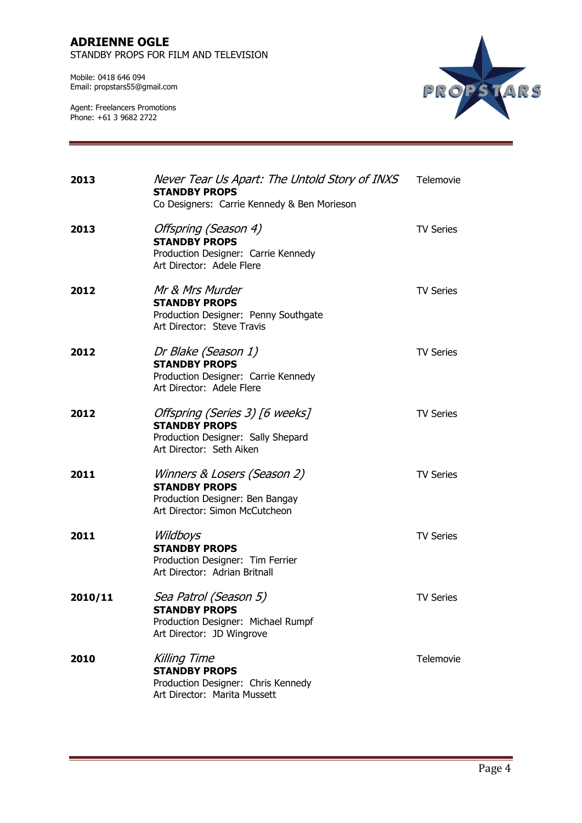#### **ADRIENNE OGLE**  STANDBY PROPS FOR FILM AND TELEVISION

Mobile: 0418 646 094 Email: propstars55@gmail.com



| 2013    | Never Tear Us Apart: The Untold Story of INXS<br><b>STANDBY PROPS</b><br>Co Designers: Carrie Kennedy & Ben Morieson     | Telemovie        |
|---------|--------------------------------------------------------------------------------------------------------------------------|------------------|
| 2013    | Offspring (Season 4)<br><b>STANDBY PROPS</b><br>Production Designer: Carrie Kennedy<br>Art Director: Adele Flere         | <b>TV Series</b> |
| 2012    | Mr & Mrs Murder<br><b>STANDBY PROPS</b><br>Production Designer: Penny Southgate<br>Art Director: Steve Travis            | <b>TV Series</b> |
| 2012    | Dr Blake (Season 1)<br><b>STANDBY PROPS</b><br>Production Designer: Carrie Kennedy<br>Art Director: Adele Flere          | <b>TV Series</b> |
| 2012    | Offspring (Series 3) [6 weeks]<br><b>STANDBY PROPS</b><br>Production Designer: Sally Shepard<br>Art Director: Seth Aiken | <b>TV Series</b> |
| 2011    | Winners & Losers (Season 2)<br><b>STANDBY PROPS</b><br>Production Designer: Ben Bangay<br>Art Director: Simon McCutcheon | <b>TV Series</b> |
| 2011    | Wildboys<br><b>STANDBY PROPS</b><br>Production Designer: Tim Ferrier<br>Art Director: Adrian Britnall                    | <b>TV Series</b> |
| 2010/11 | Sea Patrol (Season 5)<br><b>STANDBY PROPS</b><br>Production Designer: Michael Rumpf<br>Art Director: JD Wingrove         | <b>TV Series</b> |
| 2010    | <b>Killing Time</b><br><b>STANDBY PROPS</b><br>Production Designer: Chris Kennedy<br>Art Director: Marita Mussett        | Telemovie        |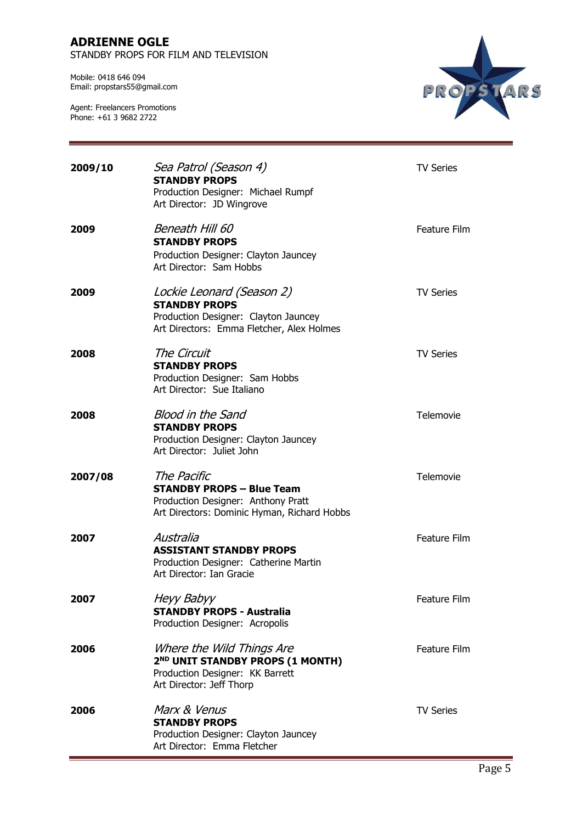STANDBY PROPS FOR FILM AND TELEVISION

Mobile: 0418 646 094 Email: propstars55@gmail.com



| 2009/10 | Sea Patrol (Season 4)<br><b>STANDBY PROPS</b><br>Production Designer: Michael Rumpf<br>Art Director: JD Wingrove                         | <b>TV Series</b> |
|---------|------------------------------------------------------------------------------------------------------------------------------------------|------------------|
| 2009    | Beneath Hill 60<br><b>STANDBY PROPS</b><br>Production Designer: Clayton Jauncey<br>Art Director: Sam Hobbs                               | Feature Film     |
| 2009    | Lockie Leonard (Season 2)<br><b>STANDBY PROPS</b><br>Production Designer: Clayton Jauncey<br>Art Directors: Emma Fletcher, Alex Holmes   | <b>TV Series</b> |
| 2008    | The Circuit<br><b>STANDBY PROPS</b><br>Production Designer: Sam Hobbs<br>Art Director: Sue Italiano                                      | <b>TV Series</b> |
| 2008    | <b>Blood in the Sand</b><br><b>STANDBY PROPS</b><br>Production Designer: Clayton Jauncey<br>Art Director: Juliet John                    | Telemovie        |
| 2007/08 | The Pacific<br><b>STANDBY PROPS - Blue Team</b><br>Production Designer: Anthony Pratt<br>Art Directors: Dominic Hyman, Richard Hobbs     | Telemovie        |
| 2007    | Australia<br><b>ASSISTANT STANDBY PROPS</b><br>Production Designer: Catherine Martin<br>Art Director: Ian Gracie                         | Feature Film     |
| 2007    | <b>Heyy Babyy</b><br><b>STANDBY PROPS - Australia</b><br>Production Designer: Acropolis                                                  | Feature Film     |
| 2006    | Where the Wild Things Are<br>2 <sup>ND</sup> UNIT STANDBY PROPS (1 MONTH)<br>Production Designer: KK Barrett<br>Art Director: Jeff Thorp | Feature Film     |
| 2006    | Marx & Venus<br><b>STANDBY PROPS</b><br>Production Designer: Clayton Jauncey<br>Art Director: Emma Fletcher                              | <b>TV Series</b> |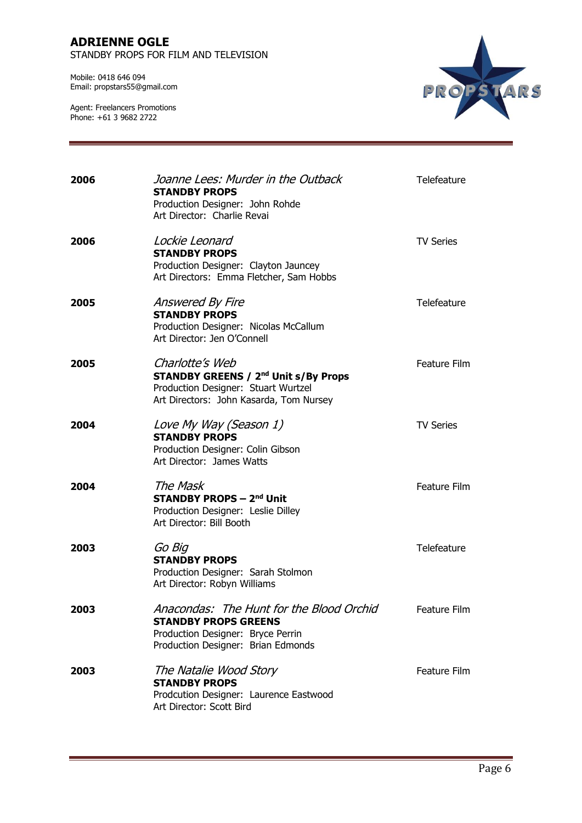STANDBY PROPS FOR FILM AND TELEVISION

Mobile: 0418 646 094 Email: propstars55@gmail.com



| 2006 | Joanne Lees: Murder in the Outback<br><b>STANDBY PROPS</b><br>Production Designer: John Rohde<br>Art Director: Charlie Revai                                | Telefeature         |
|------|-------------------------------------------------------------------------------------------------------------------------------------------------------------|---------------------|
| 2006 | Lockie Leonard<br><b>STANDBY PROPS</b><br>Production Designer: Clayton Jauncey<br>Art Directors: Emma Fletcher, Sam Hobbs                                   | <b>TV Series</b>    |
| 2005 | Answered By Fire<br><b>STANDBY PROPS</b><br>Production Designer: Nicolas McCallum<br>Art Director: Jen O'Connell                                            | Telefeature         |
| 2005 | Charlotte's Web<br><b>STANDBY GREENS / 2<sup>nd</sup> Unit s/By Props</b><br>Production Designer: Stuart Wurtzel<br>Art Directors: John Kasarda, Tom Nursey | Feature Film        |
| 2004 | Love My Way (Season 1)<br><b>STANDBY PROPS</b><br>Production Designer: Colin Gibson<br>Art Director: James Watts                                            | <b>TV Series</b>    |
| 2004 | The Mask<br><b>STANDBY PROPS - 2nd Unit</b><br>Production Designer: Leslie Dilley<br>Art Director: Bill Booth                                               | <b>Feature Film</b> |
| 2003 | Go Big<br><b>STANDBY PROPS</b><br>Production Designer: Sarah Stolmon<br>Art Director: Robyn Williams                                                        | Telefeature         |
| 2003 | Anacondas: The Hunt for the Blood Orchid<br><b>STANDBY PROPS GREENS</b><br>Production Designer: Bryce Perrin<br>Production Designer: Brian Edmonds          | Feature Film        |
| 2003 | The Natalie Wood Story<br><b>STANDBY PROPS</b><br>Prodcution Designer: Laurence Eastwood<br>Art Director: Scott Bird                                        | Feature Film        |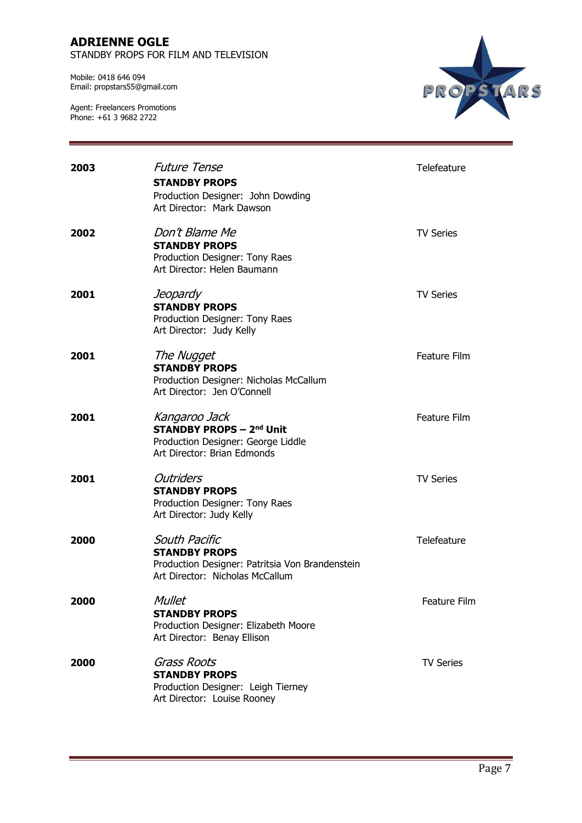STANDBY PROPS FOR FILM AND TELEVISION

Mobile: 0418 646 094 Email: propstars55@gmail.com



| 2003 | <b>Future Tense</b><br><b>STANDBY PROPS</b><br>Production Designer: John Dowding<br>Art Director: Mark Dawson               | Telefeature      |
|------|-----------------------------------------------------------------------------------------------------------------------------|------------------|
| 2002 | Don't Blame Me<br><b>STANDBY PROPS</b><br>Production Designer: Tony Raes<br>Art Director: Helen Baumann                     | <b>TV Series</b> |
| 2001 | Jeopardy<br><b>STANDBY PROPS</b><br>Production Designer: Tony Raes<br>Art Director: Judy Kelly                              | <b>TV Series</b> |
| 2001 | The Nugget<br><b>STANDBY PROPS</b><br>Production Designer: Nicholas McCallum<br>Art Director: Jen O'Connell                 | Feature Film     |
| 2001 | Kangaroo Jack<br><b>STANDBY PROPS - 2nd Unit</b><br>Production Designer: George Liddle<br>Art Director: Brian Edmonds       | Feature Film     |
| 2001 | <b>Outriders</b><br><b>STANDBY PROPS</b><br>Production Designer: Tony Raes<br>Art Director: Judy Kelly                      | <b>TV Series</b> |
| 2000 | South Pacific<br><b>STANDBY PROPS</b><br>Production Designer: Patritsia Von Brandenstein<br>Art Director: Nicholas McCallum | Telefeature      |
| 2000 | <b>Mullet</b><br><b>STANDBY PROPS</b><br>Production Designer: Elizabeth Moore<br>Art Director: Benay Ellison                | Feature Film     |
| 2000 | <b>Grass Roots</b><br><b>STANDBY PROPS</b><br>Production Designer: Leigh Tierney<br>Art Director: Louise Rooney             | <b>TV Series</b> |